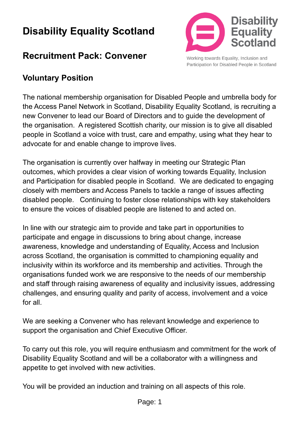# **Disability Equality Scotland**

## **Recruitment Pack: Convener**



Working towards Equality, Inclusion and Participation for Disabled People in Scotland

#### **Voluntary Position**

The national membership organisation for Disabled People and umbrella body for the Access Panel Network in Scotland, Disability Equality Scotland, is recruiting a new Convener to lead our Board of Directors and to guide the development of the organisation. A registered Scottish charity, our mission is to give all disabled people in Scotland a voice with trust, care and empathy, using what they hear to advocate for and enable change to improve lives.

The organisation is currently over halfway in meeting our Strategic Plan outcomes, which provides a clear vision of working towards Equality, Inclusion and Participation for disabled people in Scotland. We are dedicated to engaging closely with members and Access Panels to tackle a range of issues affecting disabled people. Continuing to foster close relationships with key stakeholders to ensure the voices of disabled people are listened to and acted on.

In line with our strategic aim to provide and take part in opportunities to participate and engage in discussions to bring about change, increase awareness, knowledge and understanding of Equality, Access and Inclusion across Scotland, the organisation is committed to championing equality and inclusivity within its workforce and its membership and activities. Through the organisations funded work we are responsive to the needs of our membership and staff through raising awareness of equality and inclusivity issues, addressing challenges, and ensuring quality and parity of access, involvement and a voice for all.

We are seeking a Convener who has relevant knowledge and experience to support the organisation and Chief Executive Officer.

To carry out this role, you will require enthusiasm and commitment for the work of Disability Equality Scotland and will be a collaborator with a willingness and appetite to get involved with new activities.

You will be provided an induction and training on all aspects of this role.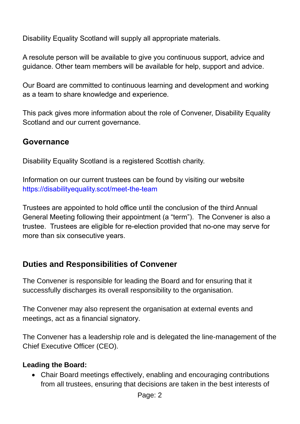Disability Equality Scotland will supply all appropriate materials.

A resolute person will be available to give you continuous support, advice and guidance. Other team members will be available for help, support and advice.

Our Board are committed to continuous learning and development and working as a team to share knowledge and experience.

This pack gives more information about the role of Convener, Disability Equality Scotland and our current governance.

#### **Governance**

Disability Equality Scotland is a registered Scottish charity.

Information on our current trustees can be found by visiting our website [https://disabilityequality.scot/meet-the-team](https://disabilityequality.scot/meet-the-team/) 

Trustees are appointed to hold office until the conclusion of the third Annual General Meeting following their appointment (a "term"). The Convener is also a trustee. Trustees are eligible for re-election provided that no-one may serve for more than six consecutive years.

#### **Duties and Responsibilities of Convener**

The Convener is responsible for leading the Board and for ensuring that it successfully discharges its overall responsibility to the organisation.

The Convener may also represent the organisation at external events and meetings, act as a financial signatory.

The Convener has a leadership role and is delegated the line-management of the Chief Executive Officer (CEO).

#### **Leading the Board:**

• Chair Board meetings effectively, enabling and encouraging contributions from all trustees, ensuring that decisions are taken in the best interests of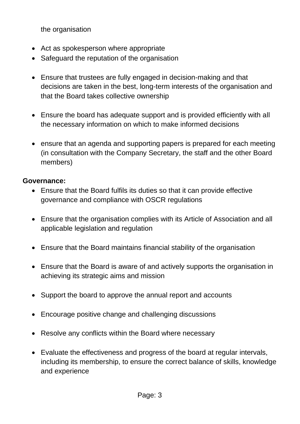the organisation

- Act as spokesperson where appropriate
- Safeguard the reputation of the organisation
- Ensure that trustees are fully engaged in decision-making and that decisions are taken in the best, long-term interests of the organisation and that the Board takes collective ownership
- Ensure the board has adequate support and is provided efficiently with all the necessary information on which to make informed decisions
- ensure that an agenda and supporting papers is prepared for each meeting (in consultation with the Company Secretary, the staff and the other Board members)

#### **Governance:**

- Ensure that the Board fulfils its duties so that it can provide effective governance and compliance with OSCR regulations
- Ensure that the organisation complies with its Article of Association and all applicable legislation and regulation
- Ensure that the Board maintains financial stability of the organisation
- Ensure that the Board is aware of and actively supports the organisation in achieving its strategic aims and mission
- Support the board to approve the annual report and accounts
- Encourage positive change and challenging discussions
- Resolve any conflicts within the Board where necessary
- Evaluate the effectiveness and progress of the board at regular intervals, including its membership, to ensure the correct balance of skills, knowledge and experience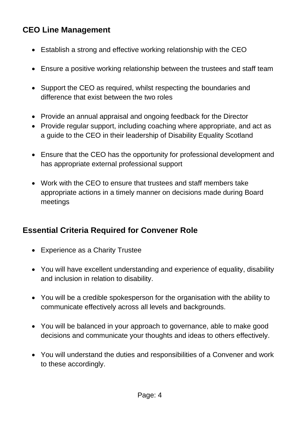## **CEO Line Management**

- Establish a strong and effective working relationship with the CEO
- Ensure a positive working relationship between the trustees and staff team
- Support the CEO as required, whilst respecting the boundaries and difference that exist between the two roles
- Provide an annual appraisal and ongoing feedback for the Director
- Provide regular support, including coaching where appropriate, and act as a guide to the CEO in their leadership of Disability Equality Scotland
- Ensure that the CEO has the opportunity for professional development and has appropriate external professional support
- Work with the CEO to ensure that trustees and staff members take appropriate actions in a timely manner on decisions made during Board meetings

#### **Essential Criteria Required for Convener Role**

- Experience as a Charity Trustee
- You will have excellent understanding and experience of equality, disability and inclusion in relation to disability.
- You will be a credible spokesperson for the organisation with the ability to communicate effectively across all levels and backgrounds.
- You will be balanced in your approach to governance, able to make good decisions and communicate your thoughts and ideas to others effectively.
- You will understand the duties and responsibilities of a Convener and work to these accordingly.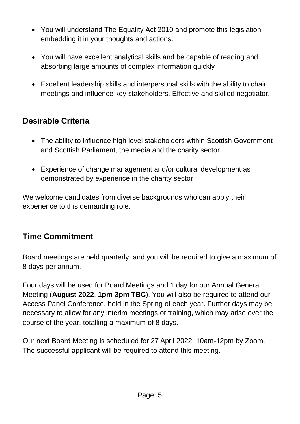- You will understand The Equality Act 2010 and promote this legislation, embedding it in your thoughts and actions.
- You will have excellent analytical skills and be capable of reading and absorbing large amounts of complex information quickly
- Excellent leadership skills and interpersonal skills with the ability to chair meetings and influence key stakeholders. Effective and skilled negotiator.

### **Desirable Criteria**

- The ability to influence high level stakeholders within Scottish Government and Scottish Parliament, the media and the charity sector
- Experience of change management and/or cultural development as demonstrated by experience in the charity sector

We welcome candidates from diverse backgrounds who can apply their experience to this demanding role.

#### **Time Commitment**

Board meetings are held quarterly, and you will be required to give a maximum of 8 days per annum.

Four days will be used for Board Meetings and 1 day for our Annual General Meeting (**August 2022**, **1pm-3pm TBC**). You will also be required to attend our Access Panel Conference, held in the Spring of each year. Further days may be necessary to allow for any interim meetings or training, which may arise over the course of the year, totalling a maximum of 8 days.

Our next Board Meeting is scheduled for 27 April 2022, 10am-12pm by Zoom. The successful applicant will be required to attend this meeting.